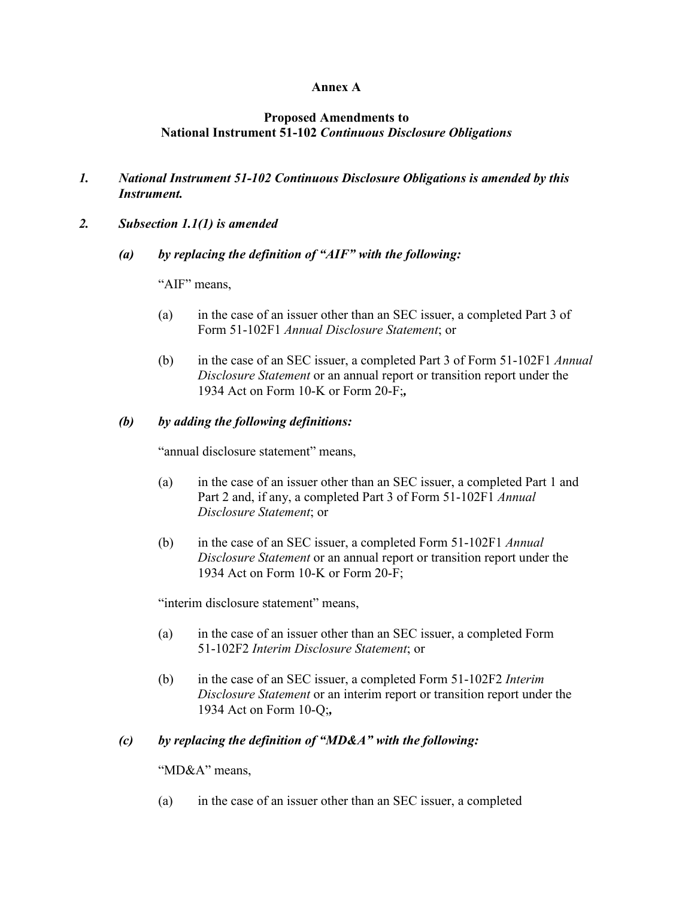### **Annex A**

### **Proposed Amendments to National Instrument 51-102** *Continuous Disclosure Obligations*

- *1. National Instrument 51-102 Continuous Disclosure Obligations is amended by this Instrument.*
- *2. Subsection 1.1(1) is amended*
	- *(a) by replacing the definition of "AIF" with the following:*

"AIF" means.

- (a) in the case of an issuer other than an SEC issuer, a completed Part 3 of Form 51-102F1 *Annual Disclosure Statement*; or
- (b) in the case of an SEC issuer, a completed Part 3 of Form 51-102F1 *Annual Disclosure Statement* or an annual report or transition report under the 1934 Act on Form 10-K or Form 20-F;*,*

### *(b) by adding the following definitions:*

"annual disclosure statement" means,

- (a) in the case of an issuer other than an SEC issuer, a completed Part 1 and Part 2 and, if any, a completed Part 3 of Form 51-102F1 *Annual Disclosure Statement*; or
- (b) in the case of an SEC issuer, a completed Form 51-102F1 *Annual Disclosure Statement* or an annual report or transition report under the 1934 Act on Form 10-K or Form 20-F;

"interim disclosure statement" means,

- (a) in the case of an issuer other than an SEC issuer, a completed Form 51-102F2 *Interim Disclosure Statement*; or
- (b) in the case of an SEC issuer, a completed Form 51-102F2 *Interim Disclosure Statement* or an interim report or transition report under the 1934 Act on Form 10-Q;*,*

### *(c) by replacing the definition of "MD&A" with the following:*

"MD&A" means,

(a) in the case of an issuer other than an SEC issuer, a completed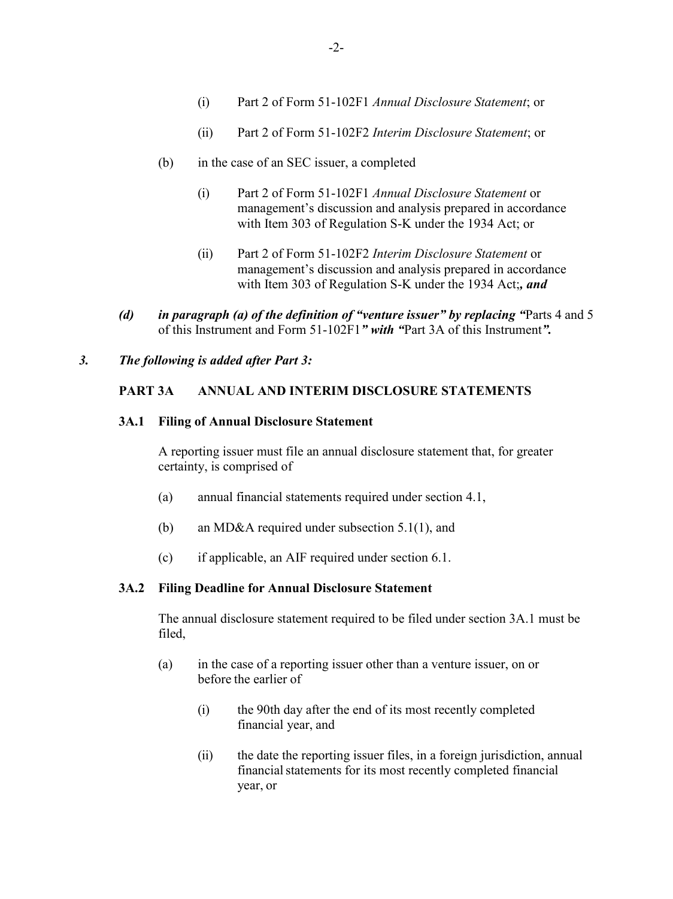- (ii) Part 2 of Form 51-102F2 *Interim Disclosure Statement*; or
- (b) in the case of an SEC issuer, a completed
	- (i) Part 2 of Form 51-102F1 *Annual Disclosure Statement* or management's discussion and analysis prepared in accordance with Item 303 of Regulation S-K under the 1934 Act; or
	- (ii) Part 2 of Form 51-102F2 *Interim Disclosure Statement* or management's discussion and analysis prepared in accordance with Item 303 of Regulation S-K under the 1934 Act;*, and*
- *(d) in paragraph (a) of the definition of "venture issuer" by replacing "*Parts 4 and 5 of this Instrument and Form 51-102F1*" with "*Part 3A of this Instrument*".*

### *3. The following is added after Part 3:*

### **PART 3A ANNUAL AND INTERIM DISCLOSURE STATEMENTS**

#### **3A.1 Filing of Annual Disclosure Statement**

A reporting issuer must file an annual disclosure statement that, for greater certainty, is comprised of

- (a) annual financial statements required under section 4.1,
- (b) an MD&A required under subsection 5.1(1), and
- (c) if applicable, an AIF required under section 6.1.

#### **3A.2 Filing Deadline for Annual Disclosure Statement**

The annual disclosure statement required to be filed under section 3A.1 must be filed,

- (a) in the case of a reporting issuer other than a venture issuer, on or before the earlier of
	- (i) the 90th day after the end of its most recently completed financial year, and
	- (ii) the date the reporting issuer files, in a foreign jurisdiction, annual financial statements for its most recently completed financial year, or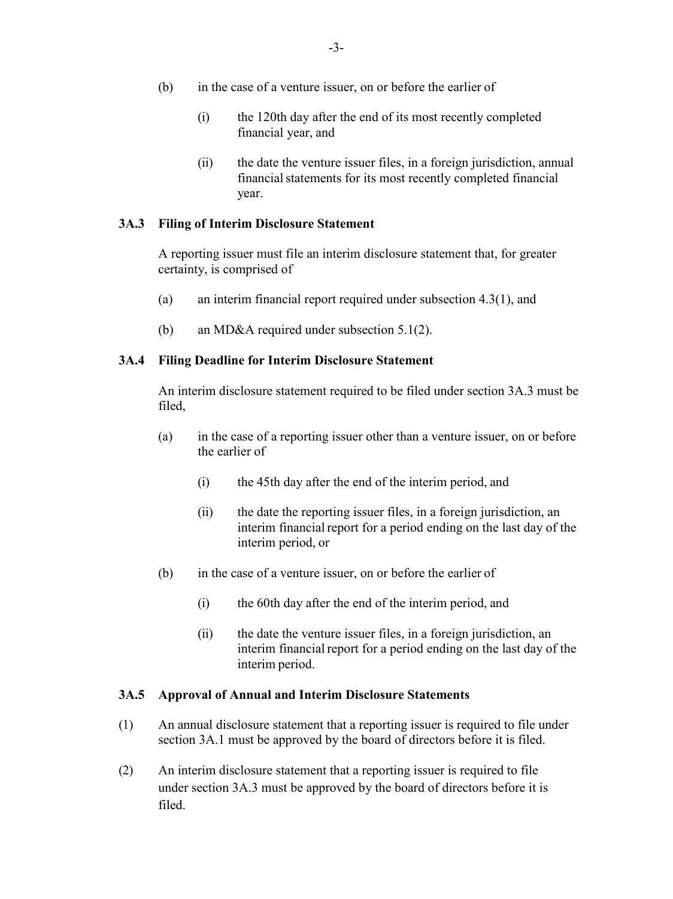- (b) in the case of a venture issuer, on or before the earlier of
	- (i) the 120th day after the end of its most recently completed financial year, and
	- (ii) the date the venture issuer files, in a foreign jurisdiction, annual financial statements for its most recently completed financial year.

### **3A.3 Filing of Interim Disclosure Statement**

A reporting issuer must file an interim disclosure statement that, for greater certainty, is comprised of

- (a) an interim financial report required under subsection 4.3(1), and
- (b) an MD&A required under subsection 5.1(2).

### **3A.4 Filing Deadline for Interim Disclosure Statement**

An interim disclosure statement required to be filed under section 3A.3 must be filed,

- (a) in the case of a reporting issuer other than a venture issuer, on or before the earlier of
	- (i) the 45th day after the end of the interim period, and
	- (ii) the date the reporting issuer files, in a foreign jurisdiction, an interim financial report for a period ending on the last day of the interim period, or
- (b) in the case of a venture issuer, on or before the earlier of
	- (i) the 60th day after the end of the interim period, and
	- (ii) the date the venture issuer files, in a foreign jurisdiction, an interim financial report for a period ending on the last day of the interim period.

#### **3A.5 Approval of Annual and Interim Disclosure Statements**

- (1) An annual disclosure statement that a reporting issuer is required to file under section 3A.1 must be approved by the board of directors before it is filed.
- (2) An interim disclosure statement that a reporting issuer is required to file under section 3A.3 must be approved by the board of directors before it is filed.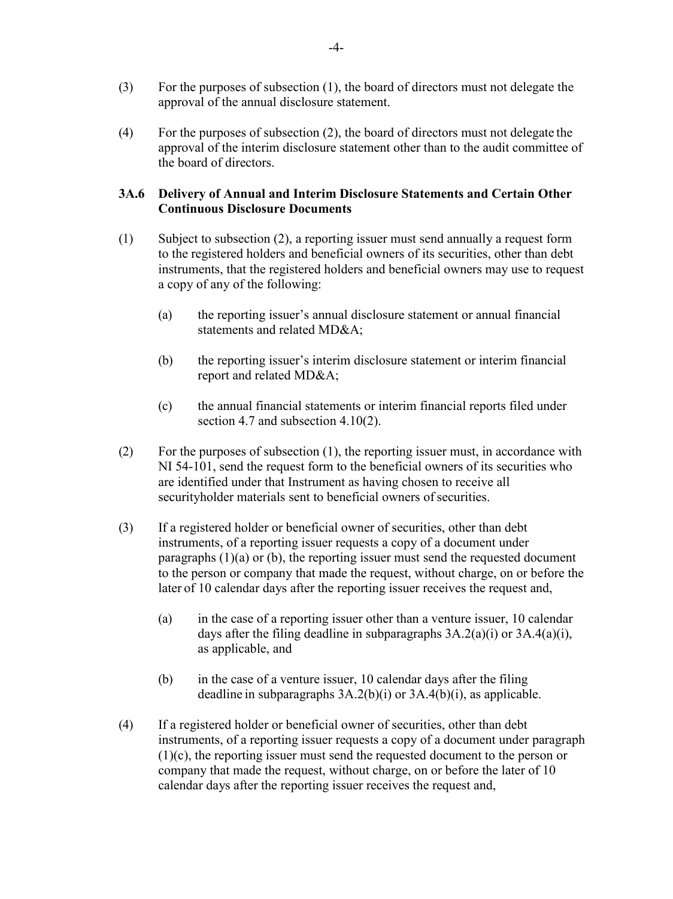- (3) For the purposes of subsection (1), the board of directors must not delegate the approval of the annual disclosure statement.
- (4) For the purposes of subsection (2), the board of directors must not delegate the approval of the interim disclosure statement other than to the audit committee of the board of directors.

### **3A.6 Delivery of Annual and Interim Disclosure Statements and Certain Other Continuous Disclosure Documents**

- (1) Subject to subsection (2), a reporting issuer must send annually a request form to the registered holders and beneficial owners of its securities, other than debt instruments, that the registered holders and beneficial owners may use to request a copy of any of the following:
	- (a) the reporting issuer's annual disclosure statement or annual financial statements and related MD&A;
	- (b) the reporting issuer's interim disclosure statement or interim financial report and related MD&A;
	- (c) the annual financial statements or interim financial reports filed under section 4.7 and subsection 4.10(2).
- (2) For the purposes of subsection (1), the reporting issuer must, in accordance with NI 54-101, send the request form to the beneficial owners of its securities who are identified under that Instrument as having chosen to receive all securityholder materials sent to beneficial owners of securities.
- (3) If a registered holder or beneficial owner of securities, other than debt instruments, of a reporting issuer requests a copy of a document under paragraphs  $(1)(a)$  or  $(b)$ , the reporting issuer must send the requested document to the person or company that made the request, without charge, on or before the later of 10 calendar days after the reporting issuer receives the request and,
	- (a) in the case of a reporting issuer other than a venture issuer, 10 calendar days after the filing deadline in subparagraphs  $3A.2(a)(i)$  or  $3A.4(a)(i)$ , as applicable, and
	- (b) in the case of a venture issuer, 10 calendar days after the filing deadline in subparagraphs 3A.2(b)(i) or 3A.4(b)(i), as applicable.
- (4) If a registered holder or beneficial owner of securities, other than debt instruments, of a reporting issuer requests a copy of a document under paragraph (1)(c), the reporting issuer must send the requested document to the person or company that made the request, without charge, on or before the later of 10 calendar days after the reporting issuer receives the request and,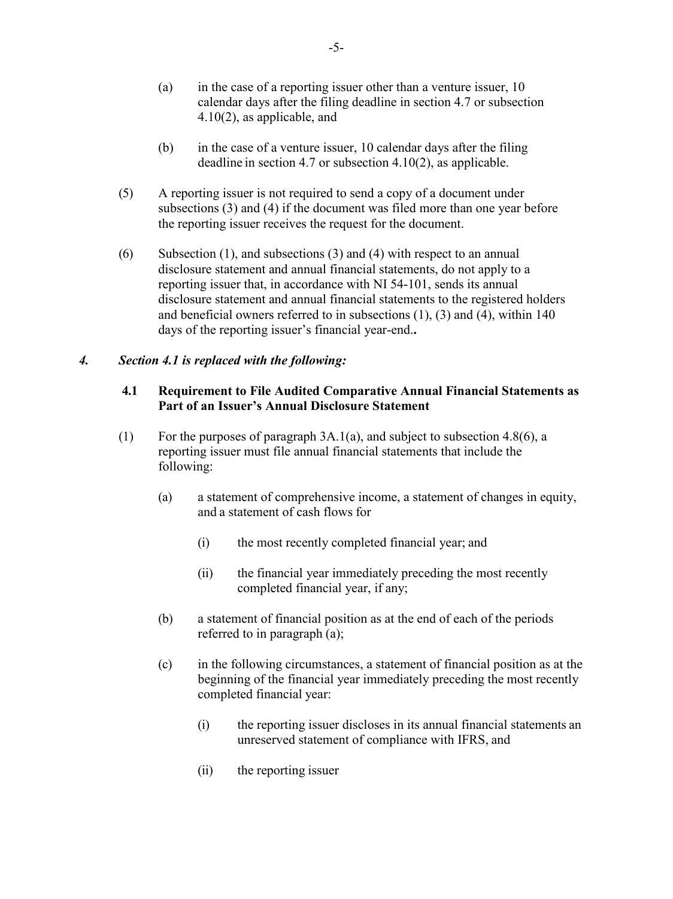- (a) in the case of a reporting issuer other than a venture issuer,  $10$ calendar days after the filing deadline in section 4.7 or subsection 4.10(2), as applicable, and
- (b) in the case of a venture issuer, 10 calendar days after the filing deadline in section 4.7 or subsection 4.10(2), as applicable.
- (5) A reporting issuer is not required to send a copy of a document under subsections (3) and (4) if the document was filed more than one year before the reporting issuer receives the request for the document.
- (6) Subsection (1), and subsections (3) and (4) with respect to an annual disclosure statement and annual financial statements, do not apply to a reporting issuer that, in accordance with NI 54-101, sends its annual disclosure statement and annual financial statements to the registered holders and beneficial owners referred to in subsections (1), (3) and (4), within 140 days of the reporting issuer's financial year-end.**.**

### *4. Section 4.1 is replaced with the following:*

### **4.1 Requirement to File Audited Comparative Annual Financial Statements as Part of an Issuer's Annual Disclosure Statement**

- (1) For the purposes of paragraph  $3A.1(a)$ , and subject to subsection 4.8(6), a reporting issuer must file annual financial statements that include the following:
	- (a) a statement of comprehensive income, a statement of changes in equity, and a statement of cash flows for
		- (i) the most recently completed financial year; and
		- (ii) the financial year immediately preceding the most recently completed financial year, if any;
	- (b) a statement of financial position as at the end of each of the periods referred to in paragraph (a);
	- (c) in the following circumstances, a statement of financial position as at the beginning of the financial year immediately preceding the most recently completed financial year:
		- (i) the reporting issuer discloses in its annual financial statements an unreserved statement of compliance with IFRS, and
		- (ii) the reporting issuer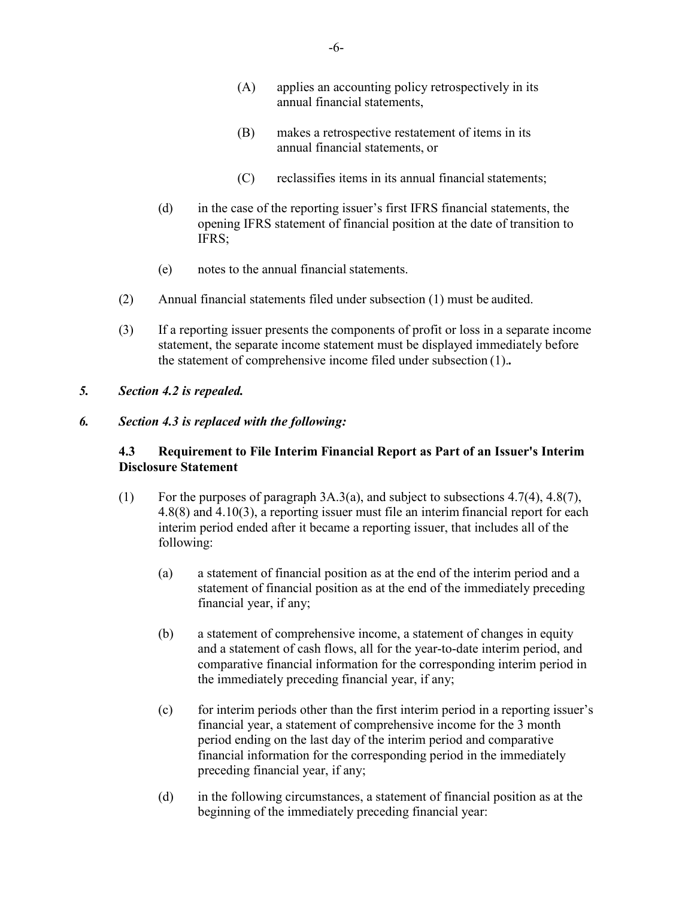- (A) applies an accounting policy retrospectively in its annual financial statements,
- (B) makes a retrospective restatement of items in its annual financial statements, or
- (C) reclassifies items in its annual financial statements;
- (d) in the case of the reporting issuer's first IFRS financial statements, the opening IFRS statement of financial position at the date of transition to IFRS;
- (e) notes to the annual financial statements.
- (2) Annual financial statements filed under subsection (1) must be audited.
- (3) If a reporting issuer presents the components of profit or loss in a separate income statement, the separate income statement must be displayed immediately before the statement of comprehensive income filed under subsection (1).*.*
- *5. Section 4.2 is repealed.*

# *6. Section 4.3 is replaced with the following:*

# **4.3 Requirement to File Interim Financial Report as Part of an Issuer's Interim Disclosure Statement**

- (1) For the purposes of paragraph 3A.3(a), and subject to subsections 4.7(4), 4.8(7), 4.8(8) and 4.10(3), a reporting issuer must file an interim financial report for each interim period ended after it became a reporting issuer, that includes all of the following:
	- (a) a statement of financial position as at the end of the interim period and a statement of financial position as at the end of the immediately preceding financial year, if any;
	- (b) a statement of comprehensive income, a statement of changes in equity and a statement of cash flows, all for the year-to-date interim period, and comparative financial information for the corresponding interim period in the immediately preceding financial year, if any;
	- (c) for interim periods other than the first interim period in a reporting issuer's financial year, a statement of comprehensive income for the 3 month period ending on the last day of the interim period and comparative financial information for the corresponding period in the immediately preceding financial year, if any;
	- (d) in the following circumstances, a statement of financial position as at the beginning of the immediately preceding financial year: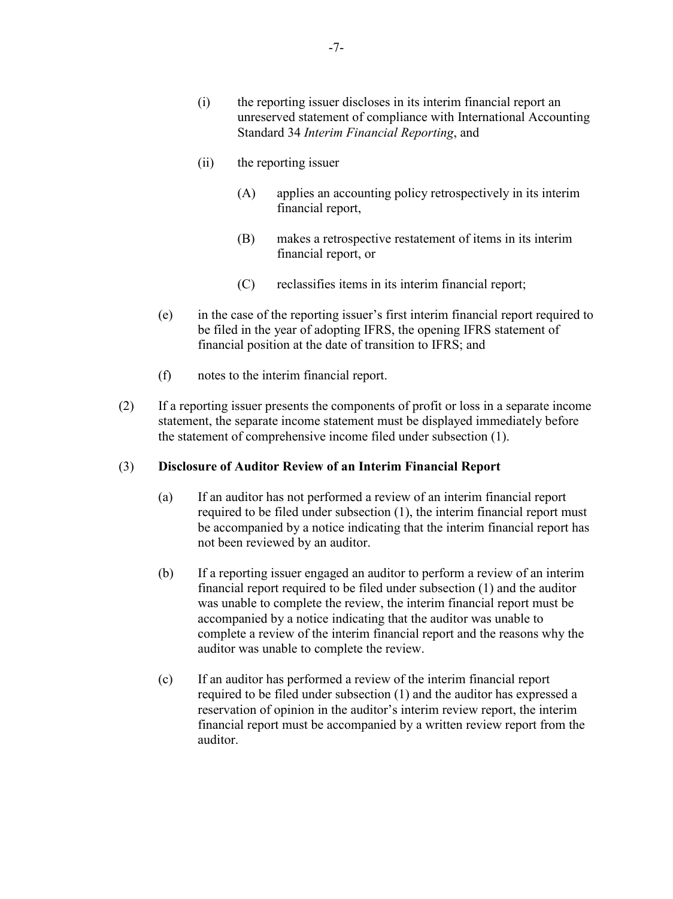- (i) the reporting issuer discloses in its interim financial report an unreserved statement of compliance with International Accounting Standard 34 *Interim Financial Reporting*, and
- (ii) the reporting issuer
	- (A) applies an accounting policy retrospectively in its interim financial report,
	- (B) makes a retrospective restatement of items in its interim financial report, or
	- (C) reclassifies items in its interim financial report;
- (e) in the case of the reporting issuer's first interim financial report required to be filed in the year of adopting IFRS, the opening IFRS statement of financial position at the date of transition to IFRS; and
- (f) notes to the interim financial report.
- (2) If a reporting issuer presents the components of profit or loss in a separate income statement, the separate income statement must be displayed immediately before the statement of comprehensive income filed under subsection (1).

#### (3) **Disclosure of Auditor Review of an Interim Financial Report**

- (a) If an auditor has not performed a review of an interim financial report required to be filed under subsection (1), the interim financial report must be accompanied by a notice indicating that the interim financial report has not been reviewed by an auditor.
- (b) If a reporting issuer engaged an auditor to perform a review of an interim financial report required to be filed under subsection (1) and the auditor was unable to complete the review, the interim financial report must be accompanied by a notice indicating that the auditor was unable to complete a review of the interim financial report and the reasons why the auditor was unable to complete the review.
- (c) If an auditor has performed a review of the interim financial report required to be filed under subsection (1) and the auditor has expressed a reservation of opinion in the auditor's interim review report, the interim financial report must be accompanied by a written review report from the auditor.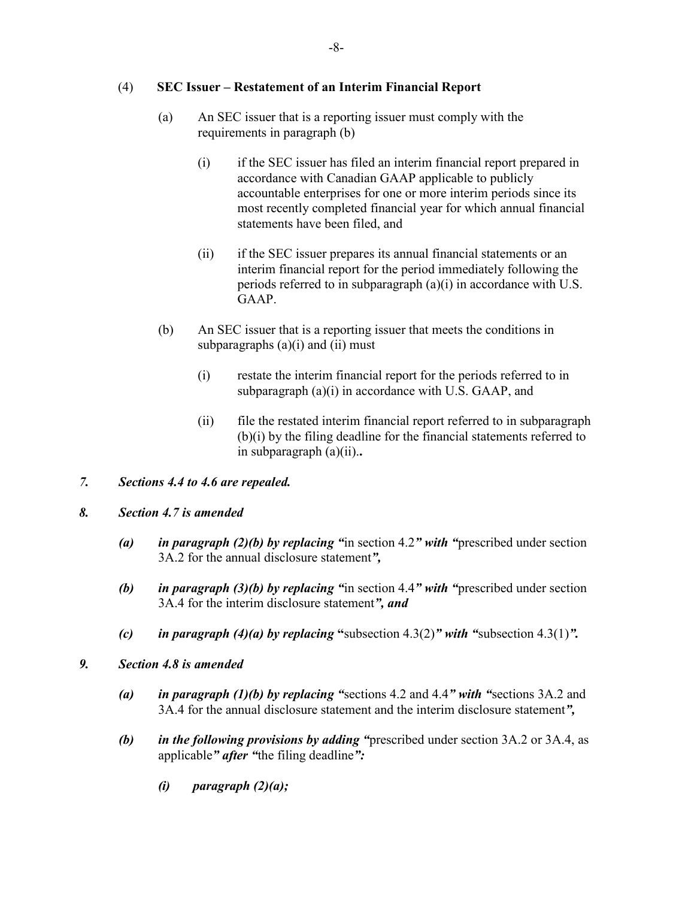# (4) **SEC Issuer – Restatement of an Interim Financial Report**

- (a) An SEC issuer that is a reporting issuer must comply with the requirements in paragraph (b)
	- (i) if the SEC issuer has filed an interim financial report prepared in accordance with Canadian GAAP applicable to publicly accountable enterprises for one or more interim periods since its most recently completed financial year for which annual financial statements have been filed, and
	- (ii) if the SEC issuer prepares its annual financial statements or an interim financial report for the period immediately following the periods referred to in subparagraph (a)(i) in accordance with U.S. GAAP.
- (b) An SEC issuer that is a reporting issuer that meets the conditions in subparagraphs  $(a)(i)$  and  $(ii)$  must
	- (i) restate the interim financial report for the periods referred to in subparagraph  $(a)(i)$  in accordance with U.S. GAAP, and
	- (ii) file the restated interim financial report referred to in subparagraph (b)(i) by the filing deadline for the financial statements referred to in subparagraph (a)(ii).**.**
- *7. Sections 4.4 to 4.6 are repealed.*
- *8. Section 4.7 is amended*
	- *(a) in paragraph (2)(b) by replacing "*in section 4.2*" with "*prescribed under section 3A.2 for the annual disclosure statement*",*
	- *(b) in paragraph (3)(b) by replacing "*in section 4.4*" with "*prescribed under section 3A.4 for the interim disclosure statement*", and*
	- *(c) in paragraph (4)(a) by replacing "subsection 4.3(2)" with "subsection 4.3(1)".*
- *9. Section 4.8 is amended*
	- *(a) in paragraph (1)(b) by replacing "*sections 4.2 and 4.4*" with "*sections 3A.2 and 3A.4 for the annual disclosure statement and the interim disclosure statement*",*
	- *(b) in the following provisions by adding "*prescribed under section 3A.2 or 3A.4, as applicable*" after "*the filing deadline*":*
		- *(i) paragraph (2)(a);*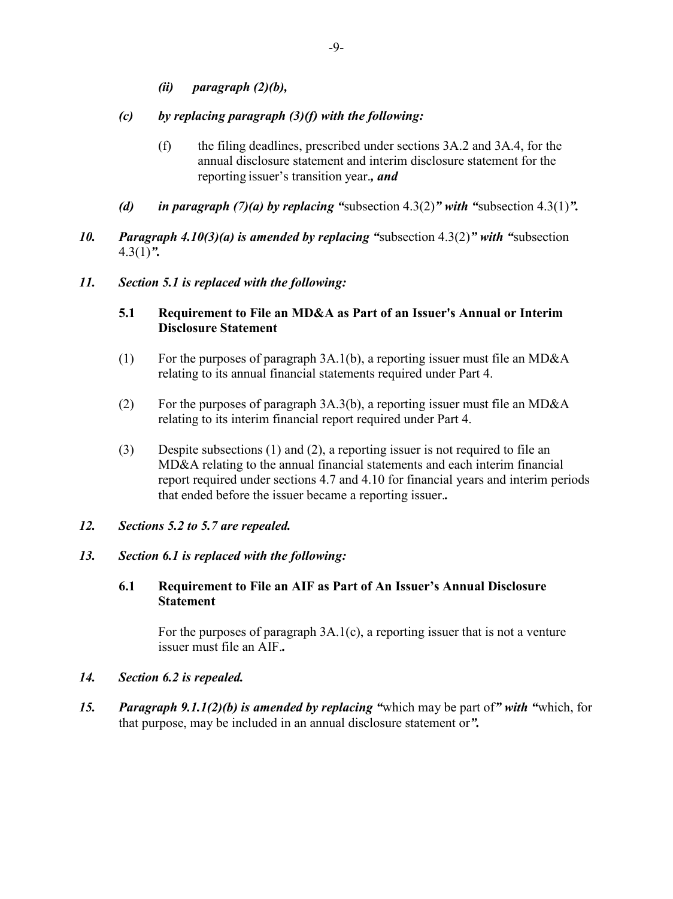- *(ii) paragraph (2)(b),*
- *(c) by replacing paragraph (3)(f) with the following:*
	- (f) the filing deadlines, prescribed under sections 3A.2 and 3A.4, for the annual disclosure statement and interim disclosure statement for the reporting issuer's transition year.*, and*
- *(d) in paragraph (7)(a) by replacing "*subsection 4.3(2)*" with "*subsection 4.3(1)*".*
- *10. Paragraph 4.10(3)(a) is amended by replacing "*subsection 4.3(2)*" with "*subsection 4.3(1)*".*
- *11. Section 5.1 is replaced with the following:*

# **5.1 Requirement to File an MD&A as Part of an Issuer's Annual or Interim Disclosure Statement**

- (1) For the purposes of paragraph 3A.1(b), a reporting issuer must file an MD&A relating to its annual financial statements required under Part 4.
- (2) For the purposes of paragraph  $3A.3(b)$ , a reporting issuer must file an MD&A relating to its interim financial report required under Part 4.
- (3) Despite subsections (1) and (2), a reporting issuer is not required to file an MD&A relating to the annual financial statements and each interim financial report required under sections 4.7 and 4.10 for financial years and interim periods that ended before the issuer became a reporting issuer.*.*
- *12. Sections 5.2 to 5.7 are repealed.*

### *13. Section 6.1 is replaced with the following:*

### **6.1 Requirement to File an AIF as Part of An Issuer's Annual Disclosure Statement**

For the purposes of paragraph 3A.1(c), a reporting issuer that is not a venture issuer must file an AIF.*.*

- *14. Section 6.2 is repealed.*
- *15. Paragraph 9.1.1(2)(b) is amended by replacing "*which may be part of*" with "*which, for that purpose, may be included in an annual disclosure statement or*".*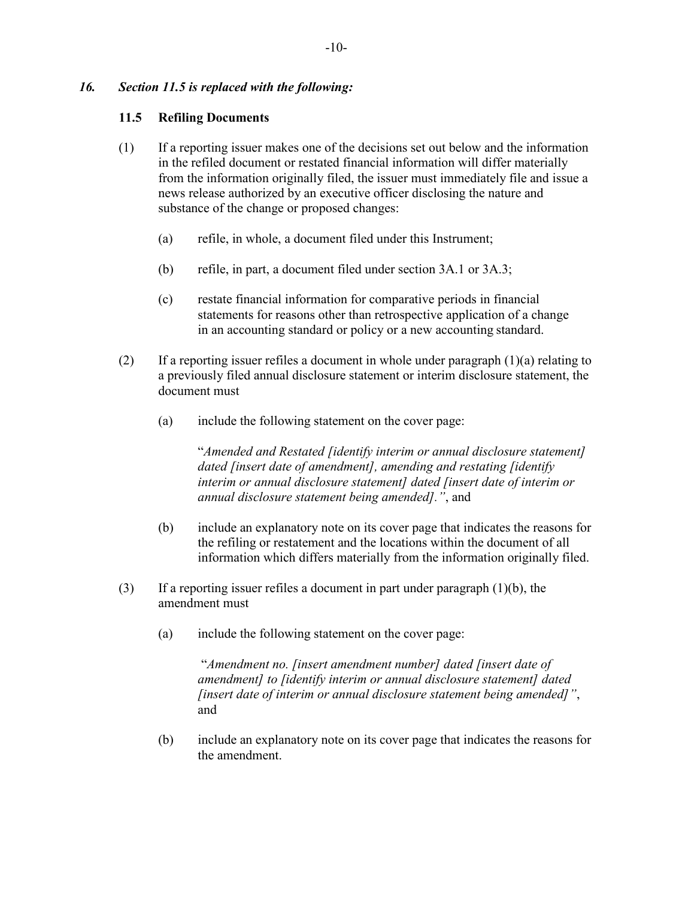# *16. Section 11.5 is replaced with the following:*

### **11.5 Refiling Documents**

- (1) If a reporting issuer makes one of the decisions set out below and the information in the refiled document or restated financial information will differ materially from the information originally filed, the issuer must immediately file and issue a news release authorized by an executive officer disclosing the nature and substance of the change or proposed changes:
	- (a) refile, in whole, a document filed under this Instrument;
	- (b) refile, in part, a document filed under section 3A.1 or 3A.3;
	- (c) restate financial information for comparative periods in financial statements for reasons other than retrospective application of a change in an accounting standard or policy or a new accounting standard.
- (2) If a reporting issuer refiles a document in whole under paragraph  $(1)(a)$  relating to a previously filed annual disclosure statement or interim disclosure statement, the document must
	- (a) include the following statement on the cover page:

"*Amended and Restated [identify interim or annual disclosure statement] dated [insert date of amendment], amending and restating [identify interim or annual disclosure statement] dated [insert date of interim or annual disclosure statement being amended]."*, and

- (b) include an explanatory note on its cover page that indicates the reasons for the refiling or restatement and the locations within the document of all information which differs materially from the information originally filed.
- (3) If a reporting issuer refiles a document in part under paragraph (1)(b), the amendment must
	- (a) include the following statement on the cover page:

"*Amendment no. [insert amendment number] dated [insert date of amendment] to [identify interim or annual disclosure statement] dated [insert date of interim or annual disclosure statement being amended]"*, and

(b) include an explanatory note on its cover page that indicates the reasons for the amendment.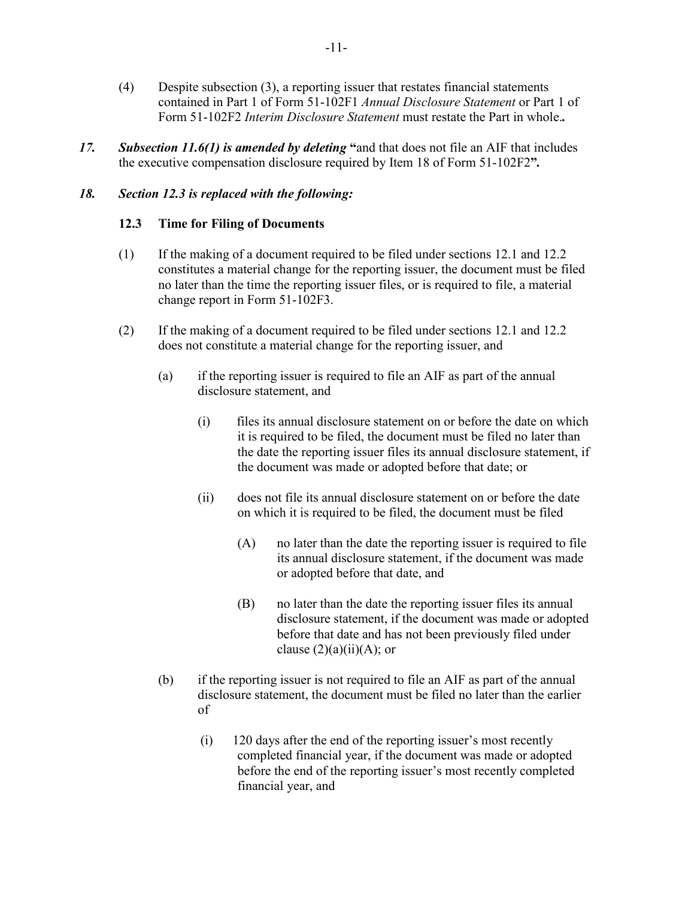- (4) Despite subsection (3), a reporting issuer that restates financial statements contained in Part 1 of Form 51-102F1 *Annual Disclosure Statement* or Part 1 of Form 51-102F2 *Interim Disclosure Statement* must restate the Part in whole.*.*
- *17. Subsection 11.6(1) is amended by deleting* **"**and that does not file an AIF that includes the executive compensation disclosure required by Item 18 of Form 51-102F2**"***.*

# *18. Section 12.3 is replaced with the following:*

### **12.3 Time for Filing of Documents**

- (1) If the making of a document required to be filed under sections 12.1 and 12.2 constitutes a material change for the reporting issuer, the document must be filed no later than the time the reporting issuer files, or is required to file, a material change report in Form 51-102F3.
- (2) If the making of a document required to be filed under sections 12.1 and 12.2 does not constitute a material change for the reporting issuer, and
	- (a) if the reporting issuer is required to file an AIF as part of the annual disclosure statement, and
		- (i) files its annual disclosure statement on or before the date on which it is required to be filed, the document must be filed no later than the date the reporting issuer files its annual disclosure statement, if the document was made or adopted before that date; or
		- (ii) does not file its annual disclosure statement on or before the date on which it is required to be filed, the document must be filed
			- $(A)$  no later than the date the reporting issuer is required to file its annual disclosure statement, if the document was made or adopted before that date, and
			- (B) no later than the date the reporting issuer files its annual disclosure statement, if the document was made or adopted before that date and has not been previously filed under clause  $(2)(a)(ii)(A)$ ; or
	- (b) if the reporting issuer is not required to file an AIF as part of the annual disclosure statement, the document must be filed no later than the earlier of
		- (i) 120 days after the end of the reporting issuer's most recently completed financial year, if the document was made or adopted before the end of the reporting issuer's most recently completed financial year, and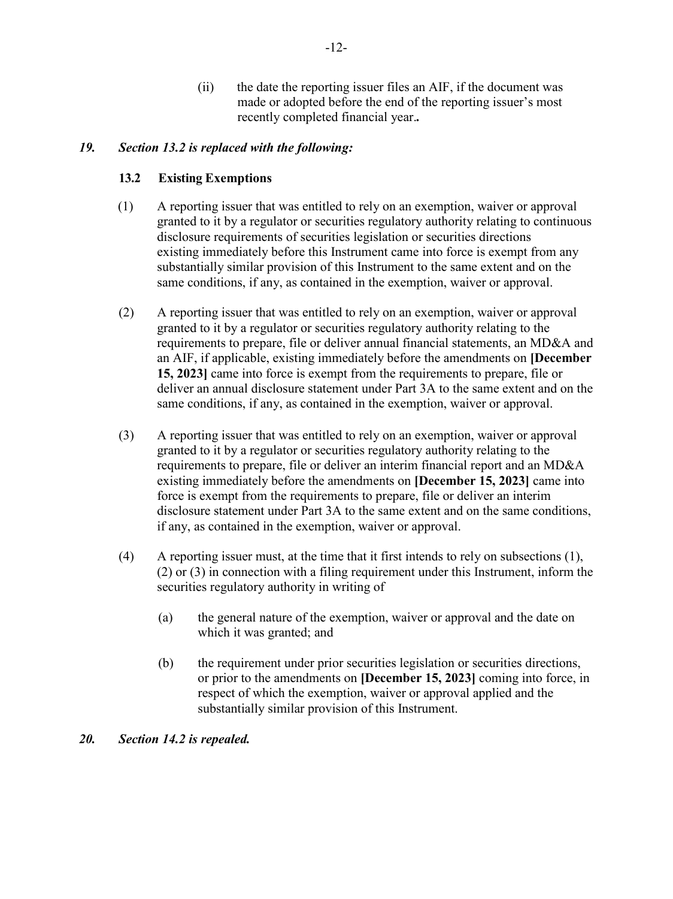(ii) the date the reporting issuer files an AIF, if the document was made or adopted before the end of the reporting issuer's most recently completed financial year.*.*

# *19. Section 13.2 is replaced with the following:*

# **13.2 Existing Exemptions**

- (1) A reporting issuer that was entitled to rely on an exemption, waiver or approval granted to it by a regulator or securities regulatory authority relating to continuous disclosure requirements of securities legislation or securities directions existing immediately before this Instrument came into force is exempt from any substantially similar provision of this Instrument to the same extent and on the same conditions, if any, as contained in the exemption, waiver or approval.
- (2) A reporting issuer that was entitled to rely on an exemption, waiver or approval granted to it by a regulator or securities regulatory authority relating to the requirements to prepare, file or deliver annual financial statements, an MD&A and an AIF, if applicable, existing immediately before the amendments on **[December 15, 2023]** came into force is exempt from the requirements to prepare, file or deliver an annual disclosure statement under Part 3A to the same extent and on the same conditions, if any, as contained in the exemption, waiver or approval.
- (3) A reporting issuer that was entitled to rely on an exemption, waiver or approval granted to it by a regulator or securities regulatory authority relating to the requirements to prepare, file or deliver an interim financial report and an MD&A existing immediately before the amendments on **[December 15, 2023]** came into force is exempt from the requirements to prepare, file or deliver an interim disclosure statement under Part 3A to the same extent and on the same conditions, if any, as contained in the exemption, waiver or approval.
- (4) A reporting issuer must, at the time that it first intends to rely on subsections (1), (2) or (3) in connection with a filing requirement under this Instrument, inform the securities regulatory authority in writing of
	- (a) the general nature of the exemption, waiver or approval and the date on which it was granted; and
	- (b) the requirement under prior securities legislation or securities directions, or prior to the amendments on **[December 15, 2023]** coming into force, in respect of which the exemption, waiver or approval applied and the substantially similar provision of this Instrument.

### *20. Section 14.2 is repealed.*